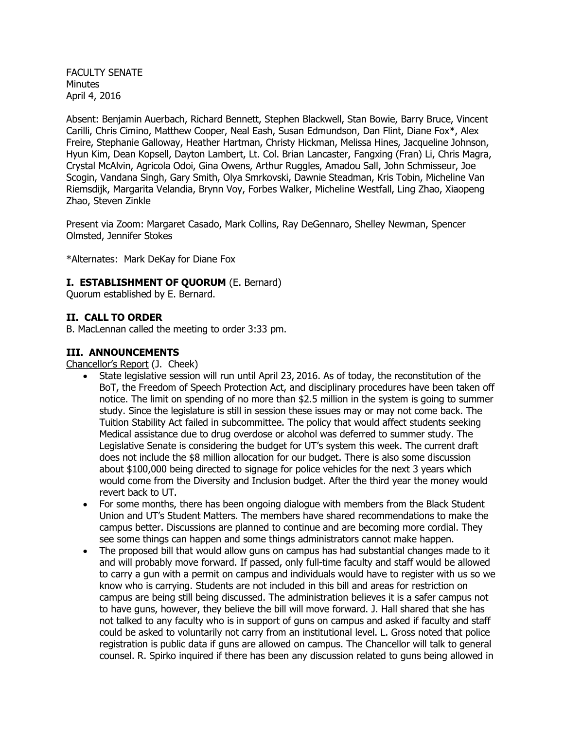FACULTY SENATE Minutes April 4, 2016

Absent: Benjamin Auerbach, Richard Bennett, Stephen Blackwell, Stan Bowie, Barry Bruce, Vincent Carilli, Chris Cimino, Matthew Cooper, Neal Eash, Susan Edmundson, Dan Flint, Diane Fox\*, Alex Freire, Stephanie Galloway, Heather Hartman, Christy Hickman, Melissa Hines, Jacqueline Johnson, Hyun Kim, Dean Kopsell, Dayton Lambert, Lt. Col. Brian Lancaster, Fangxing (Fran) Li, Chris Magra, Crystal McAlvin, Agricola Odoi, Gina Owens, Arthur Ruggles, Amadou Sall, John Schmisseur, Joe Scogin, Vandana Singh, Gary Smith, Olya Smrkovski, Dawnie Steadman, Kris Tobin, Micheline Van Riemsdijk, Margarita Velandia, Brynn Voy, Forbes Walker, Micheline Westfall, Ling Zhao, Xiaopeng Zhao, Steven Zinkle

Present via Zoom: Margaret Casado, Mark Collins, Ray DeGennaro, Shelley Newman, Spencer Olmsted, Jennifer Stokes

\*Alternates: Mark DeKay for Diane Fox

#### **I. ESTABLISHMENT OF QUORUM** (E. Bernard)

Quorum established by E. Bernard.

#### **II. CALL TO ORDER**

B. MacLennan called the meeting to order 3:33 pm.

#### **III. ANNOUNCEMENTS**

Chancellor's Report (J. Cheek)

- State legislative session will run until April 23, 2016. As of today, the reconstitution of the BoT, the Freedom of Speech Protection Act, and disciplinary procedures have been taken off notice. The limit on spending of no more than \$2.5 million in the system is going to summer study. Since the legislature is still in session these issues may or may not come back. The Tuition Stability Act failed in subcommittee. The policy that would affect students seeking Medical assistance due to drug overdose or alcohol was deferred to summer study. The Legislative Senate is considering the budget for UT's system this week. The current draft does not include the \$8 million allocation for our budget. There is also some discussion about \$100,000 being directed to signage for police vehicles for the next 3 years which would come from the Diversity and Inclusion budget. After the third year the money would revert back to UT.
- For some months, there has been ongoing dialogue with members from the Black Student Union and UT's Student Matters. The members have shared recommendations to make the campus better. Discussions are planned to continue and are becoming more cordial. They see some things can happen and some things administrators cannot make happen.
- The proposed bill that would allow guns on campus has had substantial changes made to it and will probably move forward. If passed, only full-time faculty and staff would be allowed to carry a gun with a permit on campus and individuals would have to register with us so we know who is carrying. Students are not included in this bill and areas for restriction on campus are being still being discussed. The administration believes it is a safer campus not to have guns, however, they believe the bill will move forward. J. Hall shared that she has not talked to any faculty who is in support of guns on campus and asked if faculty and staff could be asked to voluntarily not carry from an institutional level. L. Gross noted that police registration is public data if guns are allowed on campus. The Chancellor will talk to general counsel. R. Spirko inquired if there has been any discussion related to guns being allowed in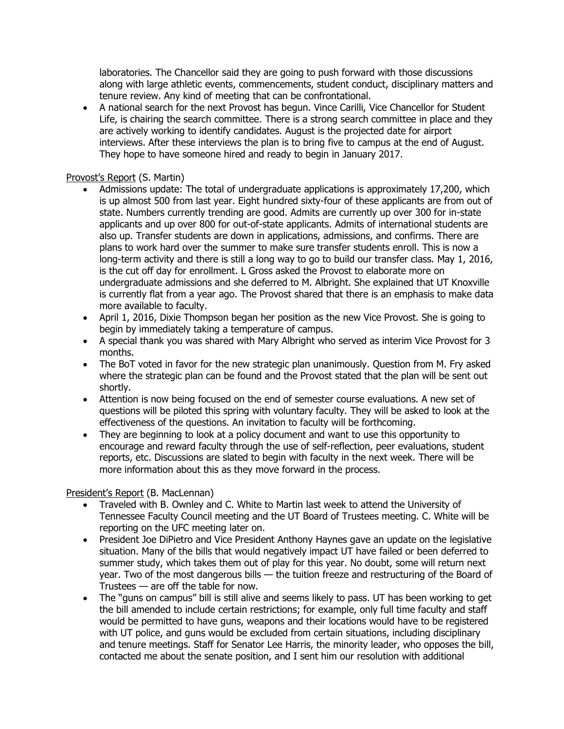laboratories. The Chancellor said they are going to push forward with those discussions along with large athletic events, commencements, student conduct, disciplinary matters and tenure review. Any kind of meeting that can be confrontational.

 A national search for the next Provost has begun. Vince Carilli, Vice Chancellor for Student Life, is chairing the search committee. There is a strong search committee in place and they are actively working to identify candidates. August is the projected date for airport interviews. After these interviews the plan is to bring five to campus at the end of August. They hope to have someone hired and ready to begin in January 2017.

## Provost's Report (S. Martin)

- Admissions update: The total of undergraduate applications is approximately 17,200, which is up almost 500 from last year. Eight hundred sixty-four of these applicants are from out of state. Numbers currently trending are good. Admits are currently up over 300 for in-state applicants and up over 800 for out-of-state applicants. Admits of international students are also up. Transfer students are down in applications, admissions, and confirms. There are plans to work hard over the summer to make sure transfer students enroll. This is now a long-term activity and there is still a long way to go to build our transfer class. May 1, 2016, is the cut off day for enrollment. L Gross asked the Provost to elaborate more on undergraduate admissions and she deferred to M. Albright. She explained that UT Knoxville is currently flat from a year ago. The Provost shared that there is an emphasis to make data more available to faculty.
- April 1, 2016, Dixie Thompson began her position as the new Vice Provost. She is going to begin by immediately taking a temperature of campus.
- A special thank you was shared with Mary Albright who served as interim Vice Provost for 3 months.
- The BoT voted in favor for the new strategic plan unanimously. Question from M. Fry asked where the strategic plan can be found and the Provost stated that the plan will be sent out shortly.
- Attention is now being focused on the end of semester course evaluations. A new set of questions will be piloted this spring with voluntary faculty. They will be asked to look at the effectiveness of the questions. An invitation to faculty will be forthcoming.
- They are beginning to look at a policy document and want to use this opportunity to encourage and reward faculty through the use of self-reflection, peer evaluations, student reports, etc. Discussions are slated to begin with faculty in the next week. There will be more information about this as they move forward in the process.

## President's Report (B. MacLennan)

- Traveled with B. Ownley and C. White to Martin last week to attend the University of Tennessee Faculty Council meeting and the UT Board of Trustees meeting. C. White will be reporting on the UFC meeting later on.
- President Joe DiPietro and Vice President Anthony Haynes gave an update on the legislative situation. Many of the bills that would negatively impact UT have failed or been deferred to summer study, which takes them out of play for this year. No doubt, some will return next year. Two of the most dangerous bills — the tuition freeze and restructuring of the Board of Trustees — are off the table for now.
- The "guns on campus" bill is still alive and seems likely to pass. UT has been working to get the bill amended to include certain restrictions; for example, only full time faculty and staff would be permitted to have guns, weapons and their locations would have to be registered with UT police, and guns would be excluded from certain situations, including disciplinary and tenure meetings. Staff for Senator Lee Harris, the minority leader, who opposes the bill, contacted me about the senate position, and I sent him our resolution with additional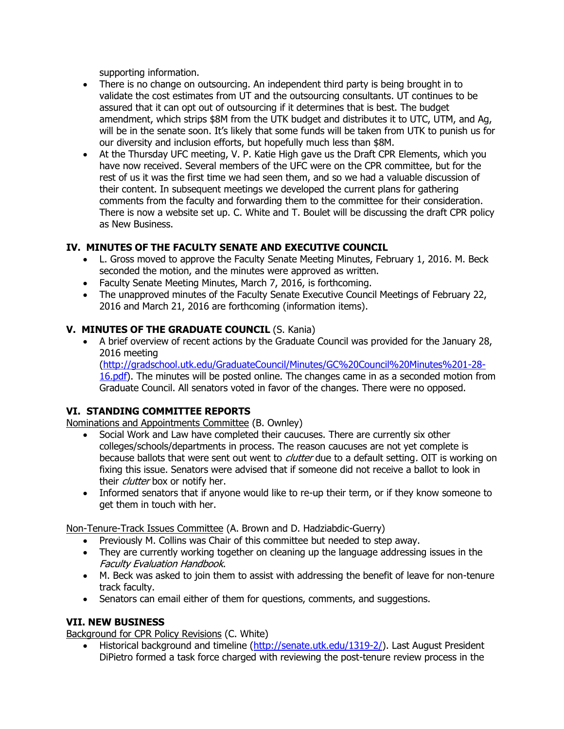supporting information.

- There is no change on outsourcing. An independent third party is being brought in to validate the cost estimates from UT and the outsourcing consultants. UT continues to be assured that it can opt out of outsourcing if it determines that is best. The budget amendment, which strips \$8M from the UTK budget and distributes it to UTC, UTM, and Ag, will be in the senate soon. It's likely that some funds will be taken from UTK to punish us for our diversity and inclusion efforts, but hopefully much less than \$8M.
- At the Thursday UFC meeting, V. P. Katie High gave us the Draft CPR Elements, which you have now received. Several members of the UFC were on the CPR committee, but for the rest of us it was the first time we had seen them, and so we had a valuable discussion of their content. In subsequent meetings we developed the current plans for gathering comments from the faculty and forwarding them to the committee for their consideration. There is now a website set up. C. White and T. Boulet will be discussing the draft CPR policy as New Business.

# **IV. MINUTES OF THE FACULTY SENATE AND EXECUTIVE COUNCIL**

- L. Gross moved to approve the Faculty Senate Meeting Minutes, February 1, 2016. M. Beck seconded the motion, and the minutes were approved as written.
- Faculty Senate Meeting Minutes, March 7, 2016, is forthcoming.
- The unapproved minutes of the Faculty Senate Executive Council Meetings of February 22, 2016 and March 21, 2016 are forthcoming (information items).

## **V. MINUTES OF THE GRADUATE COUNCIL** (S. Kania)

 A brief overview of recent actions by the Graduate Council was provided for the January 28, 2016 meeting

[\(http://gradschool.utk.edu/GraduateCouncil/Minutes/GC%20Council%20Minutes%201-28-](http://gradschool.utk.edu/GraduateCouncil/Minutes/GC%20Council%20Minutes%201-28-16.pdf) [16.pdf\)](http://gradschool.utk.edu/GraduateCouncil/Minutes/GC%20Council%20Minutes%201-28-16.pdf). The minutes will be posted online. The changes came in as a seconded motion from Graduate Council. All senators voted in favor of the changes. There were no opposed.

## **VI. STANDING COMMITTEE REPORTS**

Nominations and Appointments Committee (B. Ownley)

- Social Work and Law have completed their caucuses. There are currently six other colleges/schools/departments in process. The reason caucuses are not yet complete is because ballots that were sent out went to *clutter* due to a default setting. OIT is working on fixing this issue. Senators were advised that if someone did not receive a ballot to look in their *clutter* box or notify her.
- Informed senators that if anyone would like to re-up their term, or if they know someone to get them in touch with her.

Non-Tenure-Track Issues Committee (A. Brown and D. Hadziabdic-Guerry)

- Previously M. Collins was Chair of this committee but needed to step away.
- They are currently working together on cleaning up the language addressing issues in the Faculty Evaluation Handbook.
- M. Beck was asked to join them to assist with addressing the benefit of leave for non-tenure track faculty.
- Senators can email either of them for questions, comments, and suggestions.

## **VII. NEW BUSINESS**

Background for CPR Policy Revisions (C. White)

• Historical background and timeline [\(http://senate.utk.edu/1319-2/\)](http://senate.utk.edu/1319-2/). Last August President DiPietro formed a task force charged with reviewing the post-tenure review process in the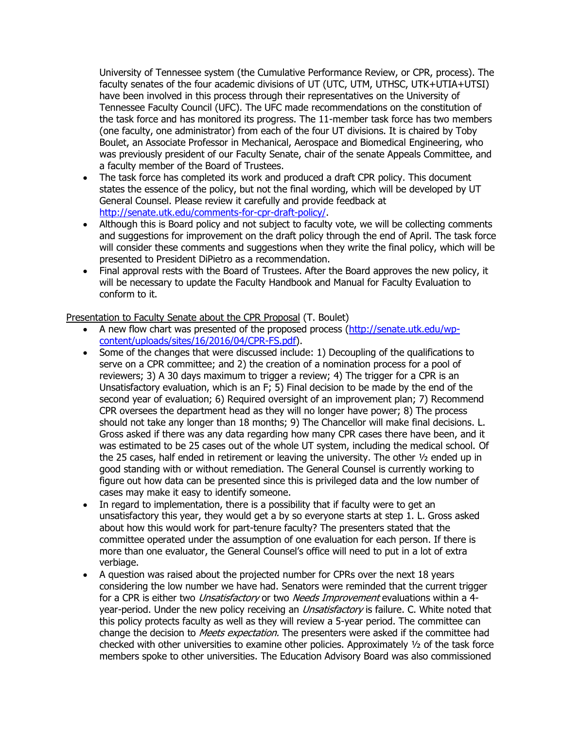University of Tennessee system (the Cumulative Performance Review, or CPR, process). The faculty senates of the four academic divisions of UT (UTC, UTM, UTHSC, UTK+UTIA+UTSI) have been involved in this process through their representatives on the University of Tennessee Faculty Council (UFC). The UFC made recommendations on the constitution of the task force and has monitored its progress. The 11-member task force has two members (one faculty, one administrator) from each of the four UT divisions. It is chaired by Toby Boulet, an Associate Professor in Mechanical, Aerospace and Biomedical Engineering, who was previously president of our Faculty Senate, chair of the senate Appeals Committee, and a faculty member of the Board of Trustees.

- The task force has completed its work and produced a draft CPR policy. This document states the essence of the policy, but not the final wording, which will be developed by UT General Counsel. Please review it carefully and provide feedback at [http://senate.utk.edu/comments-for-cpr-draft-policy/.](http://senate.utk.edu/comments-for-cpr-draft-policy/)
- Although this is Board policy and not subject to faculty vote, we will be collecting comments and suggestions for improvement on the draft policy through the end of April. The task force will consider these comments and suggestions when they write the final policy, which will be presented to President DiPietro as a recommendation.
- Final approval rests with the Board of Trustees. After the Board approves the new policy, it will be necessary to update the Faculty Handbook and Manual for Faculty Evaluation to conform to it.

## Presentation to Faculty Senate about the CPR Proposal (T. Boulet)

- A new flow chart was presented of the proposed process [\(http://senate.utk.edu/wp](http://senate.utk.edu/wp-content/uploads/sites/16/2016/04/CPR-FS.pdf)[content/uploads/sites/16/2016/04/CPR-FS.pdf\)](http://senate.utk.edu/wp-content/uploads/sites/16/2016/04/CPR-FS.pdf).
- Some of the changes that were discussed include: 1) Decoupling of the qualifications to serve on a CPR committee; and 2) the creation of a nomination process for a pool of reviewers; 3) A 30 days maximum to trigger a review; 4) The trigger for a CPR is an Unsatisfactory evaluation, which is an F; 5) Final decision to be made by the end of the second year of evaluation; 6) Required oversight of an improvement plan; 7) Recommend CPR oversees the department head as they will no longer have power; 8) The process should not take any longer than 18 months; 9) The Chancellor will make final decisions. L. Gross asked if there was any data regarding how many CPR cases there have been, and it was estimated to be 25 cases out of the whole UT system, including the medical school. Of the 25 cases, half ended in retirement or leaving the university. The other ½ ended up in good standing with or without remediation. The General Counsel is currently working to figure out how data can be presented since this is privileged data and the low number of cases may make it easy to identify someone.
- In regard to implementation, there is a possibility that if faculty were to get an unsatisfactory this year, they would get a by so everyone starts at step 1. L. Gross asked about how this would work for part-tenure faculty? The presenters stated that the committee operated under the assumption of one evaluation for each person. If there is more than one evaluator, the General Counsel's office will need to put in a lot of extra verbiage.
- A question was raised about the projected number for CPRs over the next 18 years considering the low number we have had. Senators were reminded that the current trigger for a CPR is either two *Unsatisfactory* or two Needs Improvement evaluations within a 4year-period. Under the new policy receiving an *Unsatisfactory* is failure. C. White noted that this policy protects faculty as well as they will review a 5-year period. The committee can change the decision to *Meets expectation.* The presenters were asked if the committee had checked with other universities to examine other policies. Approximately ½ of the task force members spoke to other universities. The Education Advisory Board was also commissioned